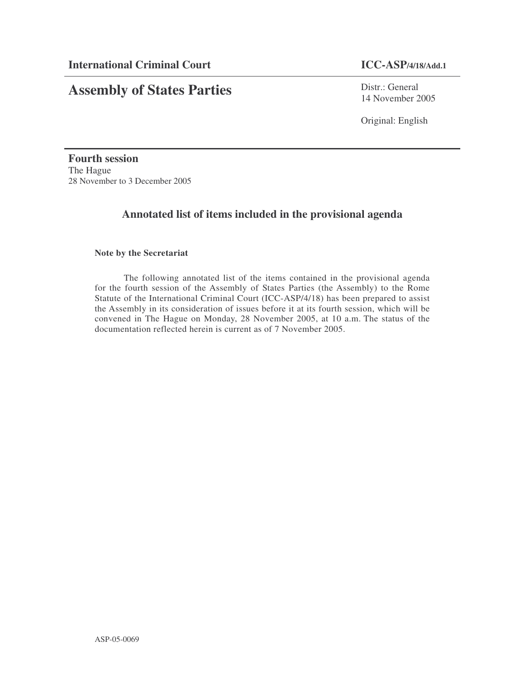# **Assembly of States Parties**

Distr.: General 14 November 2005

Original: English

**Fourth session** The Hague 28 November to 3 December 2005

# **Annotated list of items included in the provisional agenda**

# **Note by the Secretariat**

The following annotated list of the items contained in the provisional agenda for the fourth session of the Assembly of States Parties (the Assembly) to the Rome Statute of the International Criminal Court (ICC-ASP/4/18) has been prepared to assist the Assembly in its consideration of issues before it at its fourth session, which will be convened in The Hague on Monday, 28 November 2005, at 10 a.m. The status of the documentation reflected herein is current as of 7 November 2005.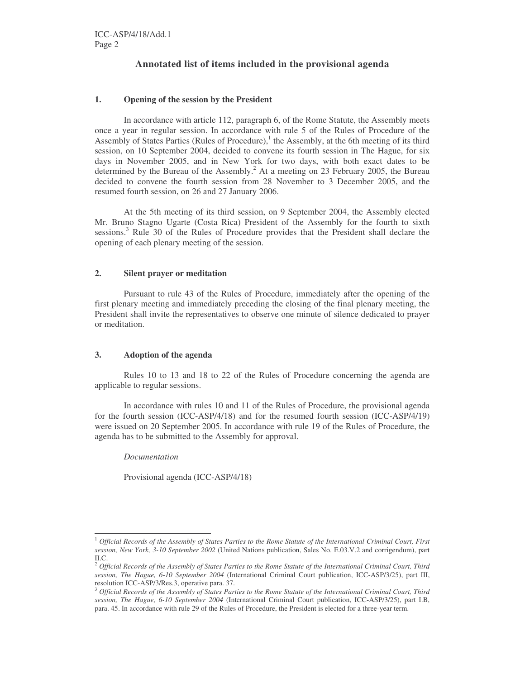# **Annotated list of items included in the provisional agenda**

### **1. Opening of the session by the President**

In accordance with article 112, paragraph 6, of the Rome Statute, the Assembly meets once a year in regular session. In accordance with rule 5 of the Rules of Procedure of the Assembly of States Parties (Rules of Procedure), 1 the Assembly, at the 6th meeting of its third session, on 10 September 2004, decided to convene its fourth session in The Hague, for six days in November 2005, and in New York for two days, with both exact dates to be determined by the Bureau of the Assembly. <sup>2</sup> At a meeting on 23 February 2005, the Bureau decided to convene the fourth session from 28 November to 3 December 2005, and the resumed fourth session, on 26 and 27 January 2006.

At the 5th meeting of its third session, on 9 September 2004, the Assembly elected Mr. Bruno Stagno Ugarte (Costa Rica) President of the Assembly for the fourth to sixth sessions.<sup>3</sup> Rule 30 of the Rules of Procedure provides that the President shall declare the opening of each plenary meeting of the session.

### **2. Silent prayer or meditation**

Pursuant to rule 43 of the Rules of Procedure, immediately after the opening of the first plenary meeting and immediately preceding the closing of the final plenary meeting, the President shall invite the representatives to observe one minute of silence dedicated to prayer or meditation.

#### **3. Adoption of the agenda**

Rules 10 to 13 and 18 to 22 of the Rules of Procedure concerning the agenda are applicable to regular sessions.

In accordance with rules 10 and 11 of the Rules of Procedure, the provisional agenda for the fourth session (ICC-ASP/4/18) and for the resumed fourth session (ICC-ASP/4/19) were issued on 20 September 2005. In accordance with rule 19 of the Rules of Procedure, the agenda has to be submitted to the Assembly for approval.

*Documentation*

Provisional agenda (ICC-ASP/4/18)

 $\frac{1}{2}$  Official Records of the Assembly of States Parties to the Rome Statute of the International Criminal Court, First *session, New York, 3-10 September 2002* (United Nations publication, Sales No. E.03.V.2 and corrigendum), part II.C.

<sup>&</sup>lt;sup>2</sup> Official Records of the Assembly of States Parties to the Rome Statute of the International Criminal Court, Third *session, The Hague, 6-10 September 2004* (International Criminal Court publication, ICC-ASP/3/25), part III, resolution ICC-ASP/3/Res.3, operative para. 37.

<sup>&</sup>lt;sup>3</sup> Official Records of the Assembly of States Parties to the Rome Statute of the International Criminal Court, Third *session, The Hague, 6-10 September 2004* (International Criminal Court publication, ICC-ASP/3/25), part I.B, para. 45. In accordance with rule 29 of the Rules of Procedure, the President is elected for a three-year term.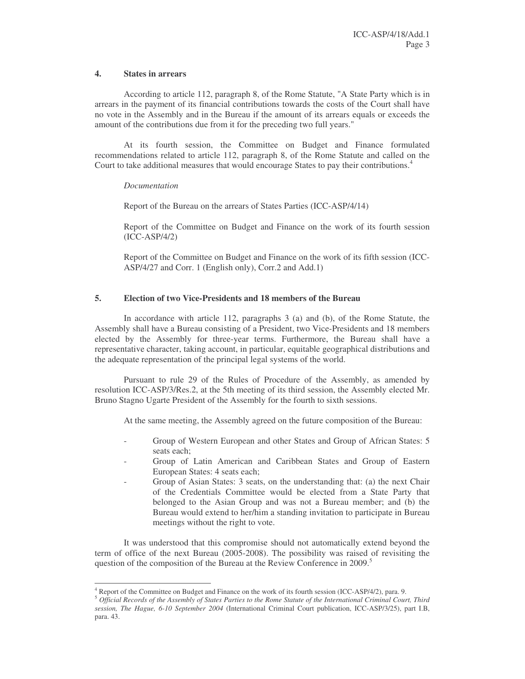#### **4. States in arrears**

According to article 112, paragraph 8, of the Rome Statute, "A State Party which is in arrears in the payment of its financial contributions towards the costs of the Court shall have no vote in the Assembly and in the Bureau if the amount of its arrears equals or exceeds the amount of the contributions due from it for the preceding two full years."

At its fourth session, the Committee on Budget and Finance formulated recommendations related to article 112, paragraph 8, of the Rome Statute and called on the Court to take additional measures that would encourage States to pay their contributions. 4

### *Documentation*

Report of the Bureau on the arrears of States Parties (ICC-ASP/4/14)

Report of the Committee on Budget and Finance on the work of its fourth session (ICC-ASP/4/2)

Report of the Committee on Budget and Finance on the work of its fifth session (ICC-ASP/4/27 and Corr. 1 (English only), Corr.2 and Add.1)

# **5. Election of two Vice-Presidents and 18 members of the Bureau**

In accordance with article 112, paragraphs 3 (a) and (b), of the Rome Statute, the Assembly shall have a Bureau consisting of a President, two Vice-Presidents and 18 members elected by the Assembly for three-year terms. Furthermore, the Bureau shall have a representative character, taking account, in particular, equitable geographical distributions and the adequate representation of the principal legal systems of the world.

Pursuant to rule 29 of the Rules of Procedure of the Assembly, as amended by resolution ICC-ASP/3/Res.2, at the 5th meeting of its third session, the Assembly elected Mr. Bruno Stagno Ugarte President of the Assembly for the fourth to sixth sessions.

At the same meeting, the Assembly agreed on the future composition of the Bureau:

- Group of Western European and other States and Group of African States: 5 seats each;
- Group of Latin American and Caribbean States and Group of Eastern European States: 4 seats each;
- Group of Asian States: 3 seats, on the understanding that: (a) the next Chair of the Credentials Committee would be elected from a State Party that belonged to the Asian Group and was not a Bureau member; and (b) the Bureau would extend to her/him a standing invitation to participate in Bureau meetings without the right to vote.

It was understood that this compromise should not automatically extend beyond the term of office of the next Bureau (2005-2008). The possibility was raised of revisiting the question of the composition of the Bureau at the Review Conference in 2009. 5

<sup>4</sup> Report of the Committee on Budget and Finance on the work of its fourth session (ICC-ASP/4/2), para. 9.

<sup>&</sup>lt;sup>5</sup> Official Records of the Assembly of States Parties to the Rome Statute of the International Criminal Court, Third *session, The Hague, 6-10 September 2004* (International Criminal Court publication, ICC-ASP/3/25), part I.B, para. 43.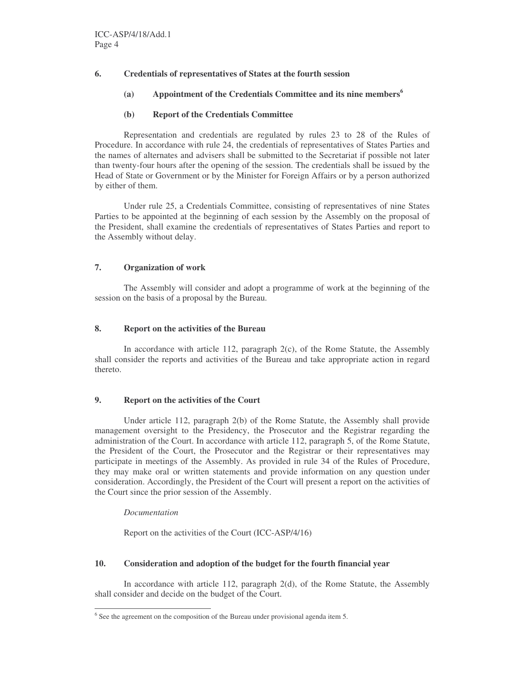# **6. Credentials of representatives of States at the fourth session**

**(a) Appointment of the Credentials Committee and its nine members 6**

# **(b) Report of the Credentials Committee**

Representation and credentials are regulated by rules 23 to 28 of the Rules of Procedure. In accordance with rule 24, the credentials of representatives of States Parties and the names of alternates and advisers shall be submitted to the Secretariat if possible not later than twenty-four hours after the opening of the session. The credentials shall be issued by the Head of State or Government or by the Minister for Foreign Affairs or by a person authorized by either of them.

Under rule 25, a Credentials Committee, consisting of representatives of nine States Parties to be appointed at the beginning of each session by the Assembly on the proposal of the President, shall examine the credentials of representatives of States Parties and report to the Assembly without delay.

# **7. Organization of work**

The Assembly will consider and adopt a programme of work at the beginning of the session on the basis of a proposal by the Bureau.

# **8. Report on the activities of the Bureau**

In accordance with article 112, paragraph  $2(c)$ , of the Rome Statute, the Assembly shall consider the reports and activities of the Bureau and take appropriate action in regard thereto.

# **9. Report on the activities of the Court**

Under article 112, paragraph 2(b) of the Rome Statute, the Assembly shall provide management oversight to the Presidency, the Prosecutor and the Registrar regarding the administration of the Court. In accordance with article 112, paragraph 5, of the Rome Statute, the President of the Court, the Prosecutor and the Registrar or their representatives may participate in meetings of the Assembly. As provided in rule 34 of the Rules of Procedure, they may make oral or written statements and provide information on any question under consideration. Accordingly, the President of the Court will present a report on the activities of the Court since the prior session of the Assembly.

# *Documentation*

Report on the activities of the Court (ICC-ASP/4/16)

# **10. Consideration and adoption of the budget for the fourth financial year**

In accordance with article 112, paragraph 2(d), of the Rome Statute, the Assembly shall consider and decide on the budget of the Court.

 $6$  See the agreement on the composition of the Bureau under provisional agenda item 5.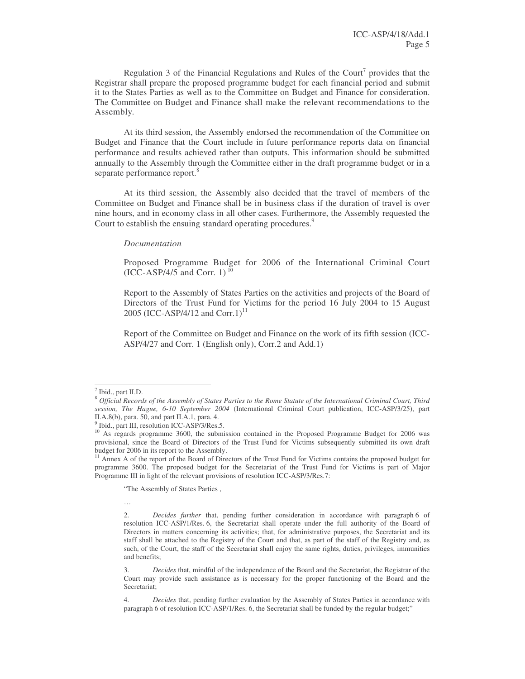Regulation 3 of the Financial Regulations and Rules of the Court<sup>7</sup> provides that the Registrar shall prepare the proposed programme budget for each financial period and submit it to the States Parties as well as to the Committee on Budget and Finance for consideration. The Committee on Budget and Finance shall make the relevant recommendations to the Assembly.

At its third session, the Assembly endorsed the recommendation of the Committee on Budget and Finance that the Court include in future performance reports data on financial performance and results achieved rather than outputs. This information should be submitted annually to the Assembly through the Committee either in the draft programme budget or in a separate performance report.<sup>8</sup>

At its third session, the Assembly also decided that the travel of members of the Committee on Budget and Finance shall be in business class if the duration of travel is over nine hours, and in economy class in all other cases. Furthermore, the Assembly requested the Court to establish the ensuing standard operating procedures.<sup>9</sup>

#### *Documentation*

Proposed Programme Budget for 2006 of the International Criminal Court  $(ICC-ASP/4/5$  and Corr. 1)<sup>10</sup>

Report to the Assembly of States Parties on the activities and projects of the Board of Directors of the Trust Fund for Victims for the period 16 July 2004 to 15 August 2005 (ICC-ASP/4/12 and Corr.1)<sup>11</sup>

Report of the Committee on Budget and Finance on the work of its fifth session (ICC-ASP/4/27 and Corr. 1 (English only), Corr.2 and Add.1)

"The Assembly of States Parties ,

…

<sup>7</sup> Ibid., part II.D.

<sup>&</sup>lt;sup>8</sup> Official Records of the Assembly of States Parties to the Rome Statute of the International Criminal Court, Third *session, The Hague, 6-10 September 2004* (International Criminal Court publication, ICC-ASP/3/25), part II.A.8(b), para. 50, and part II.A.1, para. 4.<br><sup>9</sup> Ibid. part III, resolution ICC, ASD( $\frac{2}{10}$ 

Ibid., part III, resolution ICC-ASP/3/Res.5.

<sup>&</sup>lt;sup>10</sup> As regards programme 3600, the submission contained in the Proposed Programme Budget for 2006 was provisional, since the Board of Directors of the Trust Fund for Victims subsequently submitted its own draft budget for 2006 in its report to the Assembly.

<sup>&</sup>lt;sup>11</sup> Annex A of the report of the Board of Directors of the Trust Fund for Victims contains the proposed budget for programme 3600. The proposed budget for the Secretariat of the Trust Fund for Victims is part of Major Programme III in light of the relevant provisions of resolution ICC-ASP/3/Res.7:

<sup>2.</sup> *Decides further* that, pending further consideration in accordance with paragraph 6 of resolution ICC-ASP/1/Res. 6, the Secretariat shall operate under the full authority of the Board of Directors in matters concerning its activities; that, for administrative purposes, the Secretariat and its staff shall be attached to the Registry of the Court and that, as part of the staff of the Registry and, as such, of the Court, the staff of the Secretariat shall enjoy the same rights, duties, privileges, immunities and benefits;

<sup>3.</sup> *Decides* that, mindful of the independence of the Board and the Secretariat, the Registrar of the Court may provide such assistance as is necessary for the proper functioning of the Board and the Secretariat;

<sup>4.</sup> *Decides* that, pending further evaluation by the Assembly of States Parties in accordance with paragraph 6 of resolution ICC-ASP/1/Res. 6, the Secretariat shall be funded by the regular budget;"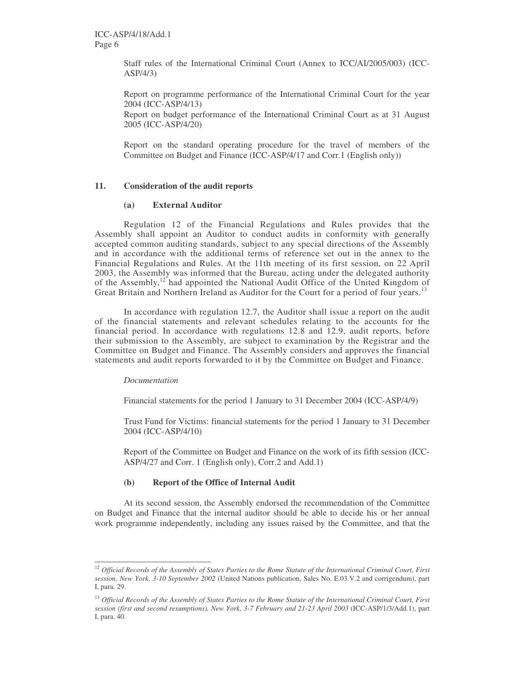Staff rules of the International Criminal Court (Annex to ICC/AI/2005/003) (ICC-ASP/4/3)

Report on programme performance of the International Criminal Court for the year 2004 (ICC-ASP/4/13) Report on budget performance of the International Criminal Court as at 31 August

Report on the standard operating procedure for the travel of members of the Committee on Budget and Finance (ICC-ASP/4/17 and Corr.1 (English only))

#### **11. Consideration of the audit reports**

2005 (ICC-ASP/4/20)

#### **(a) External Auditor**

Regulation 12 of the Financial Regulations and Rules provides that the Assembly shall appoint an Auditor to conduct audits in conformity with generally accepted common auditing standards, subject to any special directions of the Assembly and in accordance with the additional terms of reference set out in the annex to the Financial Regulations and Rules. At the 11th meeting of its first session, on 22 April 2003, the Assembly was informed that the Bureau, acting under the delegated authority of the Assembly,<sup>12</sup> had appointed the National Audit Office of the United Kingdom of Great Britain and Northern Ireland as Auditor for the Court for a period of four years.<sup>13</sup>

In accordance with regulation 12.7, the Auditor shall issue a report on the audit of the financial statements and relevant schedules relating to the accounts for the financial period. In accordance with regulations 12.8 and 12.9, audit reports, before their submission to the Assembly, are subject to examination by the Registrar and the Committee on Budget and Finance. The Assembly considers and approves the financial statements and audit reports forwarded to it by the Committee on Budget and Finance.

#### *Documentation*

Financial statements for the period 1 January to 31 December 2004 (ICC-ASP/4/9)

Trust Fund for Victims: financial statements for the period 1 January to 31 December 2004 (ICC-ASP/4/10)

Report of the Committee on Budget and Finance on the work of its fifth session (ICC-ASP/4/27 and Corr. 1 (English only), Corr.2 and Add.1)

#### **(b) Report of the Office of Internal Audit**

At its second session, the Assembly endorsed the recommendation of the Committee on Budget and Finance that the internal auditor should be able to decide his or her annual work programme independently, including any issues raised by the Committee, and that the

 $12$  Official Records of the Assembly of States Parties to the Rome Statute of the International Criminal Court, First *session, New York, 3-10 September 2002* (United Nations publication, Sales No. E.03.V.2 and corrigendum), part I, para. 29.

<sup>&</sup>lt;sup>13</sup> Official Records of the Assembly of States Parties to the Rome Statute of the International Criminal Court, First *session (first and second resumptions), New York, 3-7 February and 21-23 April 2003* (ICC-ASP/1/3/Add.1), part I, para. 40.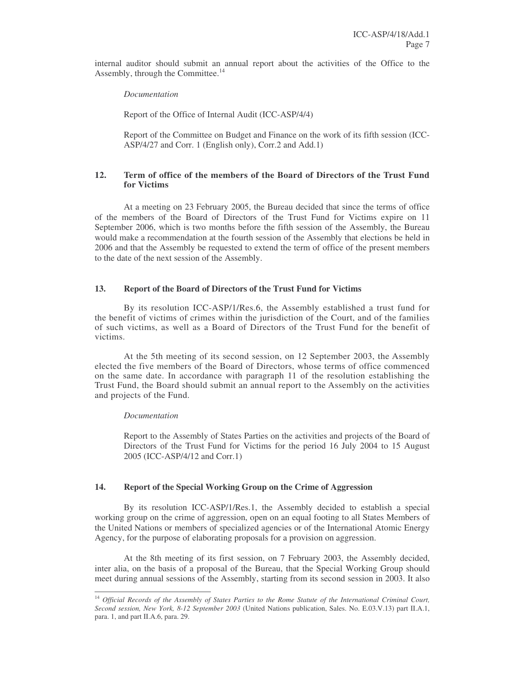internal auditor should submit an annual report about the activities of the Office to the Assembly, through the Committee.<sup>14</sup>

*Documentation*

Report of the Office of Internal Audit (ICC-ASP/4/4)

Report of the Committee on Budget and Finance on the work of its fifth session (ICC-ASP/4/27 and Corr. 1 (English only), Corr.2 and Add.1)

# **12. Term of office of the members of the Board of Directors of the Trust Fund for Victims**

At a meeting on 23 February 2005, the Bureau decided that since the terms of office of the members of the Board of Directors of the Trust Fund for Victims expire on 11 September 2006, which is two months before the fifth session of the Assembly, the Bureau would make a recommendation at the fourth session of the Assembly that elections be held in 2006 and that the Assembly be requested to extend the term of office of the present members to the date of the next session of the Assembly.

### **13. Report of the Board of Directors of the Trust Fund for Victims**

By its resolution ICC-ASP/1/Res.6, the Assembly established a trust fund for the benefit of victims of crimes within the jurisdiction of the Court, and of the families of such victims, as well as a Board of Directors of the Trust Fund for the benefit of victims.

At the 5th meeting of its second session, on 12 September 2003, the Assembly elected the five members of the Board of Directors, whose terms of office commenced on the same date. In accordance with paragraph 11 of the resolution establishing the Trust Fund, the Board should submit an annual report to the Assembly on the activities and projects of the Fund.

#### *Documentation*

Report to the Assembly of States Parties on the activities and projects of the Board of Directors of the Trust Fund for Victims for the period 16 July 2004 to 15 August 2005 (ICC-ASP/4/12 and Corr.1)

#### **14. Report of the Special Working Group on the Crime of Aggression**

By its resolution ICC-ASP/1/Res.1, the Assembly decided to establish a special working group on the crime of aggression, open on an equal footing to all States Members of the United Nations or members of specialized agencies or of the International Atomic Energy Agency, for the purpose of elaborating proposals for a provision on aggression.

At the 8th meeting of its first session, on 7 February 2003, the Assembly decided, inter alia, on the basis of a proposal of the Bureau, that the Special Working Group should meet during annual sessions of the Assembly, starting from its second session in 2003. It also

<sup>&</sup>lt;sup>14</sup> Official Records of the Assembly of States Parties to the Rome Statute of the International Criminal Court, *Second session, New York, 8-12 September 2003* (United Nations publication, Sales. No. E.03.V.13) part II.A.1, para. 1, and part II.A.6, para. 29.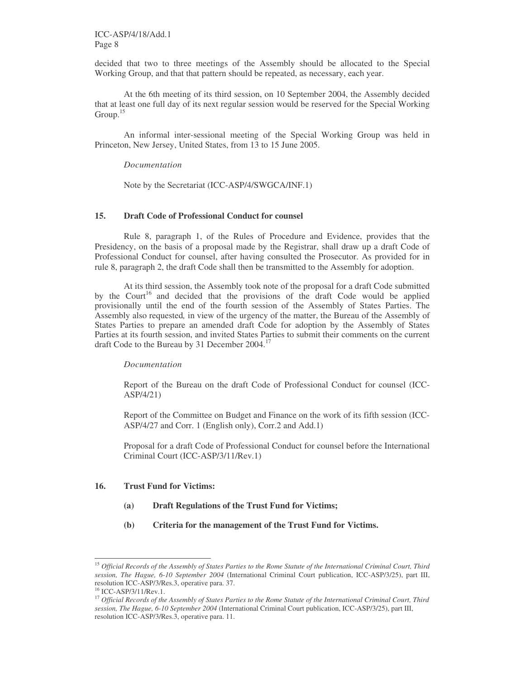decided that two to three meetings of the Assembly should be allocated to the Special Working Group, and that that pattern should be repeated, as necessary, each year.

At the 6th meeting of its third session, on 10 September 2004, the Assembly decided that at least one full day of its next regular session would be reserved for the Special Working Group.<sup>15</sup>

An informal inter-sessional meeting of the Special Working Group was held in Princeton, New Jersey, United States, from 13 to 15 June 2005.

#### *Documentation*

Note by the Secretariat (ICC-ASP/4/SWGCA/INF.1)

#### **15. Draft Code of Professional Conduct for counsel**

Rule 8, paragraph 1, of the Rules of Procedure and Evidence, provides that the Presidency, on the basis of a proposal made by the Registrar, shall draw up a draft Code of Professional Conduct for counsel, after having consulted the Prosecutor. As provided for in rule 8, paragraph 2, the draft Code shall then be transmitted to the Assembly for adoption.

At its third session, the Assembly took note of the proposal for a draft Code submitted by the Court<sup>16</sup> and decided that the provisions of the draft Code would be applied provisionally until the end of the fourth session of the Assembly of States Parties. The Assembly also requested*,* in view of the urgency of the matter, the Bureau of the Assembly of States Parties to prepare an amended draft Code for adoption by the Assembly of States Parties at its fourth session, and invited States Parties to submit their comments on the current draft Code to the Bureau by 31 December 2004.<sup>17</sup>

#### *Documentation*

Report of the Bureau on the draft Code of Professional Conduct for counsel (ICC-ASP/4/21)

Report of the Committee on Budget and Finance on the work of its fifth session (ICC-ASP/4/27 and Corr. 1 (English only), Corr.2 and Add.1)

Proposal for a draft Code of Professional Conduct for counsel before the International Criminal Court (ICC-ASP/3/11/Rev.1)

## **16. Trust Fund for Victims:**

- **(a) Draft Regulations of the Trust Fund for Victims;**
- **(b) Criteria for the management of the Trust Fund for Victims.**

<sup>&</sup>lt;sup>15</sup> Official Records of the Assembly of States Parties to the Rome Statute of the International Criminal Court, Third *session, The Hague, 6-10 September 2004* (International Criminal Court publication, ICC-ASP/3/25), part III, resolution ICC-ASP/3/Res.3, operative para. 37.

<sup>&</sup>lt;sup>16</sup> ICC-ASP/3/11/Rev.1.

<sup>&</sup>lt;sup>17</sup> Official Records of the Assembly of States Parties to the Rome Statute of the International Criminal Court, Third *session, The Hague, 6-10 September 2004* (International Criminal Court publication, ICC-ASP/3/25), part III, resolution ICC-ASP/3/Res.3, operative para. 11.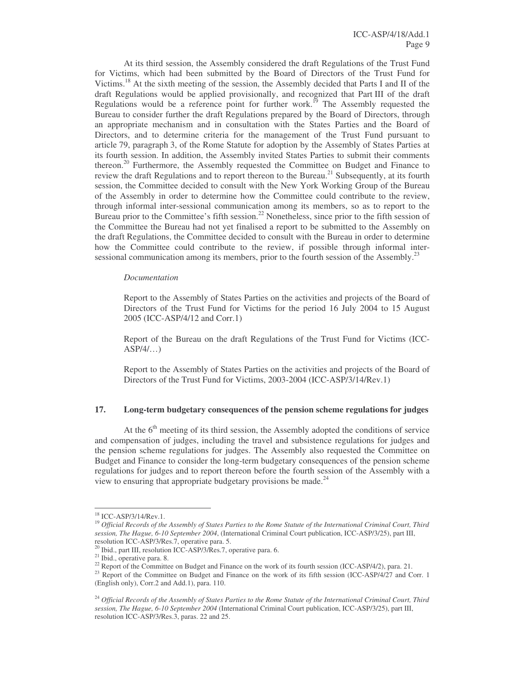At its third session, the Assembly considered the draft Regulations of the Trust Fund for Victims, which had been submitted by the Board of Directors of the Trust Fund for Victims.<sup>18</sup> At the sixth meeting of the session, the Assembly decided that Parts I and II of the draft Regulations would be applied provisionally, and recognized that Part III of the draft Regulations would be a reference point for further work.<sup>19</sup> The Assembly requested the Bureau to consider further the draft Regulations prepared by the Board of Directors, through an appropriate mechanism and in consultation with the States Parties and the Board of Directors, and to determine criteria for the management of the Trust Fund pursuant to article 79, paragraph 3, of the Rome Statute for adoption by the Assembly of States Parties at its fourth session. In addition, the Assembly invited States Parties to submit their comments thereon.<sup>20</sup> Furthermore, the Assembly requested the Committee on Budget and Finance to review the draft Regulations and to report thereon to the Bureau.<sup>21</sup> Subsequently, at its fourth session, the Committee decided to consult with the New York Working Group of the Bureau of the Assembly in order to determine how the Committee could contribute to the review, through informal inter-sessional communication among its members, so as to report to the Bureau prior to the Committee's fifth session.<sup>22</sup> Nonetheless, since prior to the fifth session of the Committee the Bureau had not yet finalised a report to be submitted to the Assembly on the draft Regulations, the Committee decided to consult with the Bureau in order to determine how the Committee could contribute to the review, if possible through informal intersessional communication among its members, prior to the fourth session of the Assembly.<sup>23</sup>

#### *Documentation*

Report to the Assembly of States Parties on the activities and projects of the Board of Directors of the Trust Fund for Victims for the period 16 July 2004 to 15 August 2005 (ICC-ASP/4/12 and Corr.1)

Report of the Bureau on the draft Regulations of the Trust Fund for Victims (ICC- $ASP/4/$ ...

Report to the Assembly of States Parties on the activities and projects of the Board of Directors of the Trust Fund for Victims, 2003-2004 (ICC-ASP/3/14/Rev.1)

## **17. Long-term budgetary consequences of the pension scheme regulations for judges**

At the 6<sup>th</sup> meeting of its third session, the Assembly adopted the conditions of service and compensation of judges, including the travel and subsistence regulations for judges and the pension scheme regulations for judges. The Assembly also requested the Committee on Budget and Finance to consider the long-term budgetary consequences of the pension scheme regulations for judges and to report thereon before the fourth session of the Assembly with a view to ensuring that appropriate budgetary provisions be made.<sup>24</sup>

<sup>18</sup> ICC-ASP/3/14/Rev.1.

<sup>&</sup>lt;sup>19</sup> Official Records of the Assembly of States Parties to the Rome Statute of the International Criminal Court, Third *session, The Hague, 6-10 September 2004*, (International Criminal Court publication, ICC-ASP/3/25), part III, resolution ICC-ASP/3/Res.7, operative para. 5.

<sup>&</sup>lt;sup>20</sup> Ibid., part III, resolution ICC-ASP/3/Res.7, operative para. 6.

<sup>&</sup>lt;sup>21</sup> Ibid., operative para. 8.

<sup>&</sup>lt;sup>22</sup> Report of the Committee on Budget and Finance on the work of its fourth session (ICC-ASP/4/2), para. 21.

<sup>&</sup>lt;sup>23</sup> Report of the Committee on Budget and Finance on the work of its fifth session (ICC-ASP/4/27 and Corr. 1 (English only), Corr.2 and Add.1), para. 110.

<sup>&</sup>lt;sup>24</sup> Official Records of the Assembly of States Parties to the Rome Statute of the International Criminal Court, Third *session, The Hague, 6-10 September 2004* (International Criminal Court publication, ICC-ASP/3/25), part III, resolution ICC-ASP/3/Res.3, paras. 22 and 25.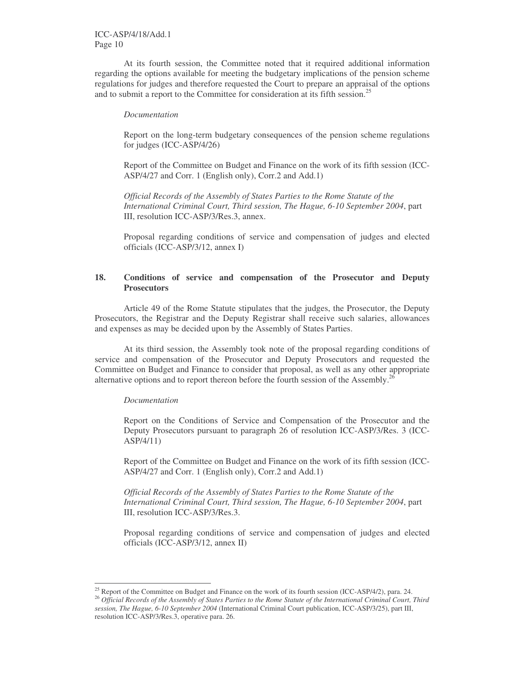At its fourth session, the Committee noted that it required additional information regarding the options available for meeting the budgetary implications of the pension scheme regulations for judges and therefore requested the Court to prepare an appraisal of the options and to submit a report to the Committee for consideration at its fifth session. 25

#### *Documentation*

Report on the long-term budgetary consequences of the pension scheme regulations for judges (ICC-ASP/4/26)

Report of the Committee on Budget and Finance on the work of its fifth session (ICC-ASP/4/27 and Corr. 1 (English only), Corr.2 and Add.1)

*Official Records of the Assembly of States Parties to the Rome Statute of the International Criminal Court, Third session, The Hague, 6-10 September 2004*, part III, resolution ICC-ASP/3/Res.3, annex.

Proposal regarding conditions of service and compensation of judges and elected officials (ICC-ASP/3/12, annex I)

## **18. Conditions of service and compensation of the Prosecutor and Deputy Prosecutors**

Article 49 of the Rome Statute stipulates that the judges, the Prosecutor, the Deputy Prosecutors, the Registrar and the Deputy Registrar shall receive such salaries, allowances and expenses as may be decided upon by the Assembly of States Parties.

At its third session, the Assembly took note of the proposal regarding conditions of service and compensation of the Prosecutor and Deputy Prosecutors and requested the Committee on Budget and Finance to consider that proposal, as well as any other appropriate alternative options and to report thereon before the fourth session of the Assembly.<sup>26</sup>

#### *Documentation*

Report on the Conditions of Service and Compensation of the Prosecutor and the Deputy Prosecutors pursuant to paragraph 26 of resolution ICC-ASP/3/Res. 3 (ICC-ASP/4/11)

Report of the Committee on Budget and Finance on the work of its fifth session (ICC-ASP/4/27 and Corr. 1 (English only), Corr.2 and Add.1)

*Official Records of the Assembly of States Parties to the Rome Statute of the International Criminal Court, Third session, The Hague, 6-10 September 2004*, part III, resolution ICC-ASP/3/Res.3.

Proposal regarding conditions of service and compensation of judges and elected officials (ICC-ASP/3/12, annex II)

<sup>&</sup>lt;sup>25</sup> Report of the Committee on Budget and Finance on the work of its fourth session (ICC-ASP/4/2), para. 24.

<sup>&</sup>lt;sup>26</sup> Official Records of the Assembly of States Parties to the Rome Statute of the International Criminal Court, Third *session, The Hague, 6-10 September 2004* (International Criminal Court publication, ICC-ASP/3/25), part III, resolution ICC-ASP/3/Res.3, operative para. 26.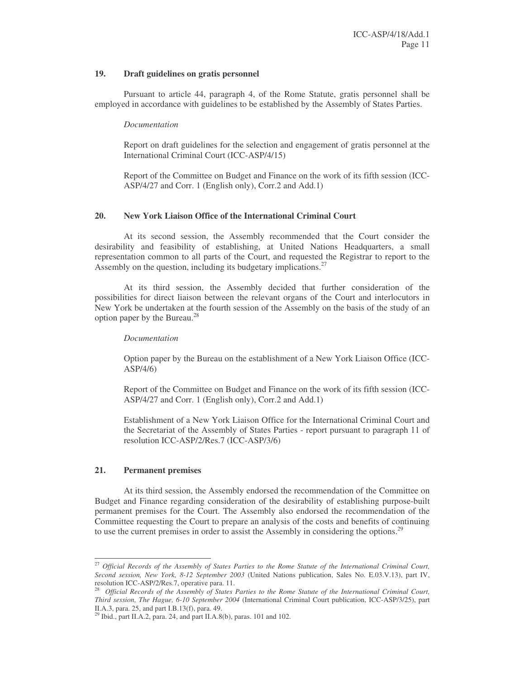#### **19. Draft guidelines on gratis personnel**

Pursuant to article 44, paragraph 4, of the Rome Statute, gratis personnel shall be employed in accordance with guidelines to be established by the Assembly of States Parties.

### *Documentation*

Report on draft guidelines for the selection and engagement of gratis personnel at the International Criminal Court (ICC-ASP/4/15)

Report of the Committee on Budget and Finance on the work of its fifth session (ICC-ASP/4/27 and Corr. 1 (English only), Corr.2 and Add.1)

### **20. New York Liaison Office of the International Criminal Court**

At its second session, the Assembly recommended that the Court consider the desirability and feasibility of establishing, at United Nations Headquarters, a small representation common to all parts of the Court, and requested the Registrar to report to the Assembly on the question, including its budgetary implications. 27

At its third session, the Assembly decided that further consideration of the possibilities for direct liaison between the relevant organs of the Court and interlocutors in New York be undertaken at the fourth session of the Assembly on the basis of the study of an option paper by the Bureau. 28

#### *Documentation*

Option paper by the Bureau on the establishment of a New York Liaison Office (ICC-ASP/4/6)

Report of the Committee on Budget and Finance on the work of its fifth session (ICC-ASP/4/27 and Corr. 1 (English only), Corr.2 and Add.1)

Establishment of a New York Liaison Office for the International Criminal Court and the Secretariat of the Assembly of States Parties - report pursuant to paragraph 11 of resolution ICC-ASP/2/Res.7 (ICC-ASP/3/6)

#### **21. Permanent premises**

At its third session, the Assembly endorsed the recommendation of the Committee on Budget and Finance regarding consideration of the desirability of establishing purpose-built permanent premises for the Court. The Assembly also endorsed the recommendation of the Committee requesting the Court to prepare an analysis of the costs and benefits of continuing to use the current premises in order to assist the Assembly in considering the options.<sup>29</sup>

<sup>&</sup>lt;sup>27</sup> Official Records of the Assembly of States Parties to the Rome Statute of the International Criminal Court, *Second session, New York, 8-12 September 2003* (United Nations publication, Sales No. E.03.V.13), part IV, resolution ICC-ASP/2/Res.7, operative para. 11.

Official Records of the Assembly of States Parties to the Rome Statute of the International Criminal Court, *Third session, The Hague, 6-10 September 2004* (International Criminal Court publication, ICC-ASP/3/25), part II.A.3, para. 25, and part I.B.13(f), para. 49.

<sup>29</sup> Ibid., part II.A.2, para. 24, and part II.A.8(b), paras. 101 and 102.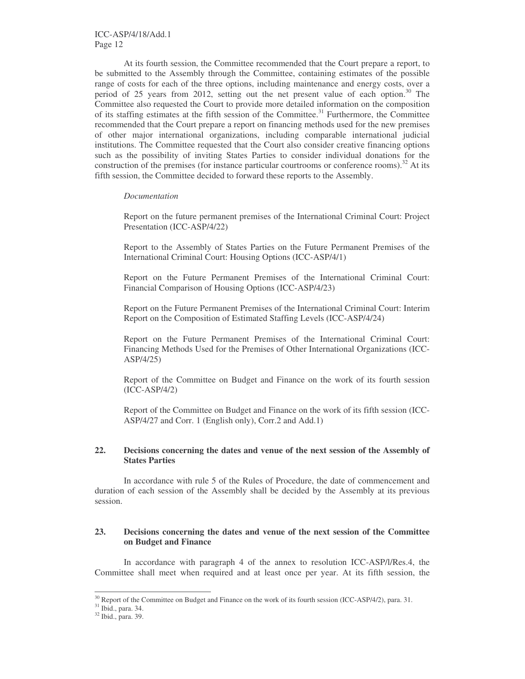At its fourth session, the Committee recommended that the Court prepare a report, to be submitted to the Assembly through the Committee, containing estimates of the possible range of costs for each of the three options, including maintenance and energy costs, over a period of 25 years from 2012, setting out the net present value of each option.<sup>30</sup> The Committee also requested the Court to provide more detailed information on the composition of its staffing estimates at the fifth session of the Committee.<sup>31</sup> Furthermore, the Committee recommended that the Court prepare a report on financing methods used for the new premises of other major international organizations, including comparable international judicial institutions. The Committee requested that the Court also consider creative financing options such as the possibility of inviting States Parties to consider individual donations for the construction of the premises (for instance particular courtrooms or conference rooms).<sup>32</sup> At its fifth session, the Committee decided to forward these reports to the Assembly.

#### *Documentation*

Report on the future permanent premises of the International Criminal Court: Project Presentation (ICC-ASP/4/22)

Report to the Assembly of States Parties on the Future Permanent Premises of the International Criminal Court: Housing Options (ICC-ASP/4/1)

Report on the Future Permanent Premises of the International Criminal Court: Financial Comparison of Housing Options (ICC-ASP/4/23)

Report on the Future Permanent Premises of the International Criminal Court: Interim Report on the Composition of Estimated Staffing Levels (ICC-ASP/4/24)

Report on the Future Permanent Premises of the International Criminal Court: Financing Methods Used for the Premises of Other International Organizations (ICC-ASP/4/25)

Report of the Committee on Budget and Finance on the work of its fourth session (ICC-ASP/4/2)

Report of the Committee on Budget and Finance on the work of its fifth session (ICC-ASP/4/27 and Corr. 1 (English only), Corr.2 and Add.1)

#### **22. Decisions concerning the dates and venue of the next session of the Assembly of States Parties**

In accordance with rule 5 of the Rules of Procedure, the date of commencement and duration of each session of the Assembly shall be decided by the Assembly at its previous session.

### **23. Decisions concerning the dates and venue of the next session of the Committee on Budget and Finance**

In accordance with paragraph 4 of the annex to resolution ICC-ASP/l/Res.4, the Committee shall meet when required and at least once per year. At its fifth session, the

<sup>&</sup>lt;sup>30</sup> Report of the Committee on Budget and Finance on the work of its fourth session (ICC-ASP/4/2), para. 31.

<sup>&</sup>lt;sup>31</sup> Ibid., para. 34.

<sup>32</sup> Ibid., para. 39.